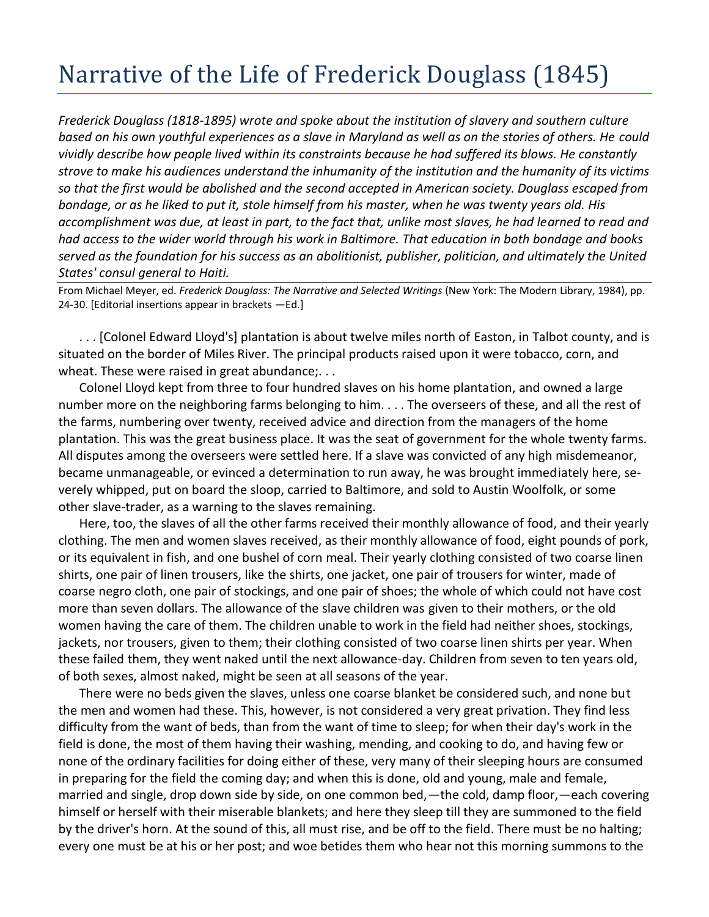## Narrative of the Life of Frederick Douglass (1845)

*Frederick Douglass (1818-1895) wrote and spoke about the institution of slavery and southern culture based on his own youthful experiences as a slave in Maryland as well as on the stories of others. He could vividly describe how people lived within its constraints because he had suffered its blows. He constantly strove to make his audiences understand the inhumanity of the institution and the humanity of its victims so that the first would be abolished and the second accepted in American society. Douglass escaped from bondage, or as he liked to put it, stole himself from his master, when he was twenty years old. His accomplishment was due, at least in part, to the fact that, unlike most slaves, he had learned to read and had access to the wider world through his work in Baltimore. That education in both bondage and books served as the foundation for his success as an abolitionist, publisher, politician, and ultimately the United States' consul general to Haiti.*

From Michael Meyer, ed. *Frederick Douglass: The Narrative and Selected Writings* (New York: The Modern Library, 1984), pp. 24-30. [Editorial insertions appear in brackets —Ed.]

. . . [Colonel Edward Lloyd's] plantation is about twelve miles north of Easton, in Talbot county, and is situated on the border of Miles River. The principal products raised upon it were tobacco, corn, and wheat. These were raised in great abundance;...

Colonel Lloyd kept from three to four hundred slaves on his home plantation, and owned a large number more on the neighboring farms belonging to him. . . . The overseers of these, and all the rest of the farms, numbering over twenty, received advice and direction from the managers of the home plantation. This was the great business place. It was the seat of government for the whole twenty farms. All disputes among the overseers were settled here. If a slave was convicted of any high misdemeanor, became unmanageable, or evinced a determination to run away, he was brought immediately here, severely whipped, put on board the sloop, carried to Baltimore, and sold to Austin Woolfolk, or some other slave-trader, as a warning to the slaves remaining.

Here, too, the slaves of all the other farms received their monthly allowance of food, and their yearly clothing. The men and women slaves received, as their monthly allowance of food, eight pounds of pork, or its equivalent in fish, and one bushel of corn meal. Their yearly clothing consisted of two coarse linen shirts, one pair of linen trousers, like the shirts, one jacket, one pair of trousers for winter, made of coarse negro cloth, one pair of stockings, and one pair of shoes; the whole of which could not have cost more than seven dollars. The allowance of the slave children was given to their mothers, or the old women having the care of them. The children unable to work in the field had neither shoes, stockings, jackets, nor trousers, given to them; their clothing consisted of two coarse linen shirts per year. When these failed them, they went naked until the next allowance-day. Children from seven to ten years old, of both sexes, almost naked, might be seen at all seasons of the year.

There were no beds given the slaves, unless one coarse blanket be considered such, and none but the men and women had these. This, however, is not considered a very great privation. They find less difficulty from the want of beds, than from the want of time to sleep; for when their day's work in the field is done, the most of them having their washing, mending, and cooking to do, and having few or none of the ordinary facilities for doing either of these, very many of their sleeping hours are consumed in preparing for the field the coming day; and when this is done, old and young, male and female, married and single, drop down side by side, on one common bed,—the cold, damp floor,—each covering himself or herself with their miserable blankets; and here they sleep till they are summoned to the field by the driver's horn. At the sound of this, all must rise, and be off to the field. There must be no halting; every one must be at his or her post; and woe betides them who hear not this morning summons to the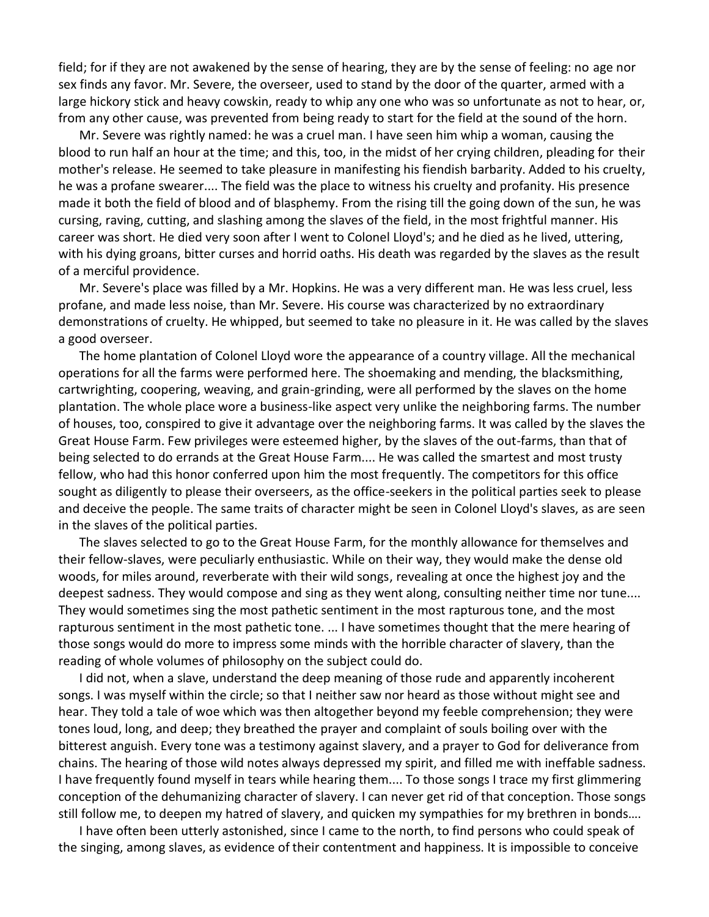field; for if they are not awakened by the sense of hearing, they are by the sense of feeling: no age nor sex finds any favor. Mr. Severe, the overseer, used to stand by the door of the quarter, armed with a large hickory stick and heavy cowskin, ready to whip any one who was so unfortunate as not to hear, or, from any other cause, was prevented from being ready to start for the field at the sound of the horn.

Mr. Severe was rightly named: he was a cruel man. I have seen him whip a woman, causing the blood to run half an hour at the time; and this, too, in the midst of her crying children, pleading for their mother's release. He seemed to take pleasure in manifesting his fiendish barbarity. Added to his cruelty, he was a profane swearer.... The field was the place to witness his cruelty and profanity. His presence made it both the field of blood and of blasphemy. From the rising till the going down of the sun, he was cursing, raving, cutting, and slashing among the slaves of the field, in the most frightful manner. His career was short. He died very soon after I went to Colonel Lloyd's; and he died as he lived, uttering, with his dying groans, bitter curses and horrid oaths. His death was regarded by the slaves as the result of a merciful providence.

Mr. Severe's place was filled by a Mr. Hopkins. He was a very different man. He was less cruel, less profane, and made less noise, than Mr. Severe. His course was characterized by no extraordinary demonstrations of cruelty. He whipped, but seemed to take no pleasure in it. He was called by the slaves a good overseer.

The home plantation of Colonel Lloyd wore the appearance of a country village. All the mechanical operations for all the farms were performed here. The shoemaking and mending, the blacksmithing, cartwrighting, coopering, weaving, and grain-grinding, were all performed by the slaves on the home plantation. The whole place wore a business-like aspect very unlike the neighboring farms. The number of houses, too, conspired to give it advantage over the neighboring farms. It was called by the slaves the Great House Farm. Few privileges were esteemed higher, by the slaves of the out-farms, than that of being selected to do errands at the Great House Farm.... He was called the smartest and most trusty fellow, who had this honor conferred upon him the most frequently. The competitors for this office sought as diligently to please their overseers, as the office-seekers in the political parties seek to please and deceive the people. The same traits of character might be seen in Colonel Lloyd's slaves, as are seen in the slaves of the political parties.

The slaves selected to go to the Great House Farm, for the monthly allowance for themselves and their fellow-slaves, were peculiarly enthusiastic. While on their way, they would make the dense old woods, for miles around, reverberate with their wild songs, revealing at once the highest joy and the deepest sadness. They would compose and sing as they went along, consulting neither time nor tune.... They would sometimes sing the most pathetic sentiment in the most rapturous tone, and the most rapturous sentiment in the most pathetic tone. ... I have sometimes thought that the mere hearing of those songs would do more to impress some minds with the horrible character of slavery, than the reading of whole volumes of philosophy on the subject could do.

I did not, when a slave, understand the deep meaning of those rude and apparently incoherent songs. I was myself within the circle; so that I neither saw nor heard as those without might see and hear. They told a tale of woe which was then altogether beyond my feeble comprehension; they were tones loud, long, and deep; they breathed the prayer and complaint of souls boiling over with the bitterest anguish. Every tone was a testimony against slavery, and a prayer to God for deliverance from chains. The hearing of those wild notes always depressed my spirit, and filled me with ineffable sadness. I have frequently found myself in tears while hearing them.... To those songs I trace my first glimmering conception of the dehumanizing character of slavery. I can never get rid of that conception. Those songs still follow me, to deepen my hatred of slavery, and quicken my sympathies for my brethren in bonds….

I have often been utterly astonished, since I came to the north, to find persons who could speak of the singing, among slaves, as evidence of their contentment and happiness. It is impossible to conceive